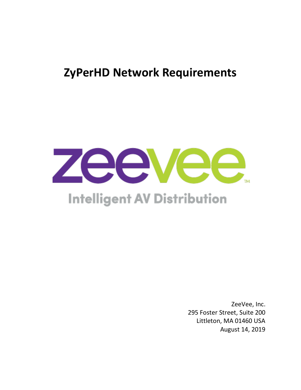## **ZyPerHD Network Requirements**



# **Intelligent AV Distribution**

ZeeVee, Inc. 295 Foster Street, Suite 200 Littleton, MA 01460 USA August 14, 2019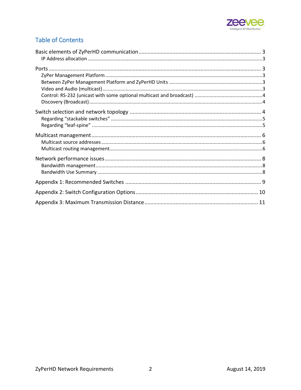

### **Table of Contents**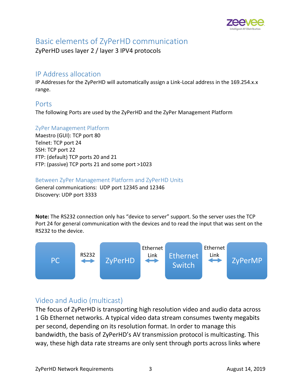

## <span id="page-2-0"></span>Basic elements of ZyPerHD communication

ZyPerHD uses layer 2 / layer 3 IPV4 protocols

#### <span id="page-2-1"></span>IP Address allocation

IP Addresses for the ZyPerHD will automatically assign a Link-Local address in the 169.254.x.x range.

#### <span id="page-2-2"></span>Ports

The following Ports are used by the ZyPerHD and the ZyPer Management Platform

#### <span id="page-2-3"></span>ZyPer Management Platform

Maestro (GUI): TCP port 80 Telnet: TCP port 24 SSH: TCP port 22 FTP: (default) TCP ports 20 and 21 FTP: (passive) TCP ports 21 and some port >1023

#### <span id="page-2-4"></span>Between ZyPer Management Platform and ZyPerHD Units

General communications: UDP port 12345 and 12346 Discovery: UDP port 3333

**Note:** The RS232 connection only has "device to server" support. So the server uses the TCP Port 24 for general communication with the devices and to read the input that was sent on the RS232 to the device.



### <span id="page-2-5"></span>Video and Audio (multicast)

The focus of ZyPerHD is transporting high resolution video and audio data across 1 Gb Ethernet networks. A typical video data stream consumes twenty megabits per second, depending on its resolution format. In order to manage this bandwidth, the basis of ZyPerHD's AV transmission protocol is multicasting. This way, these high data rate streams are only sent through ports across links where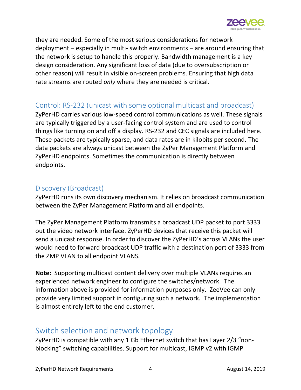

they are needed. Some of the most serious considerations for network deployment – especially in multi- switch environments – are around ensuring that the network is setup to handle this properly. Bandwidth management is a key design consideration. Any significant loss of data (due to oversubscription or other reason) will result in visible on-screen problems. Ensuring that high data rate streams are routed *only* where they are needed is critical.

#### <span id="page-3-0"></span>Control: RS-232 (unicast with some optional multicast and broadcast)

ZyPerHD carries various low-speed control communications as well. These signals are typically triggered by a user-facing control system and are used to control things like turning on and off a display. RS-232 and CEC signals are included here. These packets are typically sparse, and data rates are in kilobits per second. The data packets are always unicast between the ZyPer Management Platform and ZyPerHD endpoints. Sometimes the communication is directly between endpoints.

#### <span id="page-3-1"></span>Discovery (Broadcast)

ZyPerHD runs its own discovery mechanism. It relies on broadcast communication between the ZyPer Management Platform and all endpoints.

The ZyPer Management Platform transmits a broadcast UDP packet to port 3333 out the video network interface. ZyPerHD devices that receive this packet will send a unicast response. In order to discover the ZyPerHD's across VLANs the user would need to forward broadcast UDP traffic with a destination port of 3333 from the ZMP VLAN to all endpoint VLANS.

**Note:** Supporting multicast content delivery over multiple VLANs requires an experienced network engineer to configure the switches/network. The information above is provided for information purposes only. ZeeVee can only provide very limited support in configuring such a network. The implementation is almost entirely left to the end customer.

## <span id="page-3-2"></span>Switch selection and network topology

ZyPerHD is compatible with any 1 Gb Ethernet switch that has Layer 2/3 "nonblocking" switching capabilities. Support for multicast, IGMP v2 with IGMP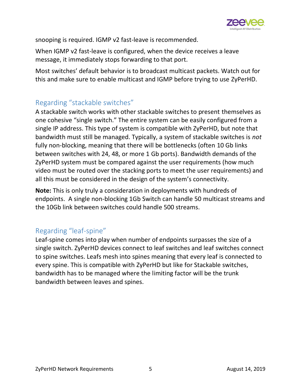

snooping is required. IGMP v2 fast-leave is recommended.

When IGMP v2 fast-leave is configured, when the device receives a leave message, it immediately stops forwarding to that port.

Most switches' default behavior is to broadcast multicast packets. Watch out for this and make sure to enable multicast and IGMP before trying to use ZyPerHD.

### <span id="page-4-0"></span>Regarding "stackable switches"

A stackable switch works with other stackable switches to present themselves as one cohesive "single switch." The entire system can be easily configured from a single IP address. This type of system is compatible with ZyPerHD, but note that bandwidth must still be managed. Typically, a system of stackable switches is *not* fully non-blocking, meaning that there will be bottlenecks (often 10 Gb links between switches with 24, 48, or more 1 Gb ports). Bandwidth demands of the ZyPerHD system must be compared against the user requirements (how much video must be routed over the stacking ports to meet the user requirements) and all this must be considered in the design of the system's connectivity.

**Note:** This is only truly a consideration in deployments with hundreds of endpoints. A single non-blocking 1Gb Switch can handle 50 multicast streams and the 10Gb link between switches could handle 500 streams.

### <span id="page-4-1"></span>Regarding "leaf-spine"

Leaf-spine comes into play when number of endpoints surpasses the size of a single switch. ZyPerHD devices connect to leaf switches and leaf switches connect to spine switches. Leafs mesh into spines meaning that every leaf is connected to every spine. This is compatible with ZyPerHD but like for Stackable switches, bandwidth has to be managed where the limiting factor will be the trunk bandwidth between leaves and spines.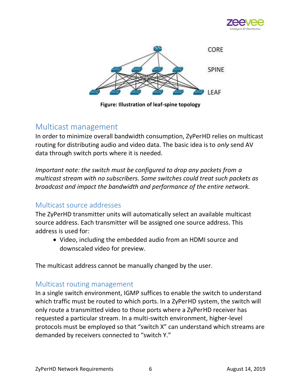



**Figure: Illustration of leaf-spine topology**

### <span id="page-5-0"></span>Multicast management

In order to minimize overall bandwidth consumption, ZyPerHD relies on multicast routing for distributing audio and video data. The basic idea is to *only* send AV data through switch ports where it is needed.

*Important note: the switch must be configured to drop any packets from a multicast stream with no subscribers. Some switches could treat such packets as broadcast and impact the bandwidth and performance of the entire network.* 

#### <span id="page-5-1"></span>Multicast source addresses

The ZyPerHD transmitter units will automatically select an available multicast source address. Each transmitter will be assigned one source address. This address is used for:

• Video, including the embedded audio from an HDMI source and downscaled video for preview.

The multicast address cannot be manually changed by the user.

#### <span id="page-5-2"></span>Multicast routing management

In a single switch environment, IGMP suffices to enable the switch to understand which traffic must be routed to which ports. In a ZyPerHD system, the switch will only route a transmitted video to those ports where a ZyPerHD receiver has requested a particular stream. In a multi-switch environment, higher-level protocols must be employed so that "switch X" can understand which streams are demanded by receivers connected to "switch Y."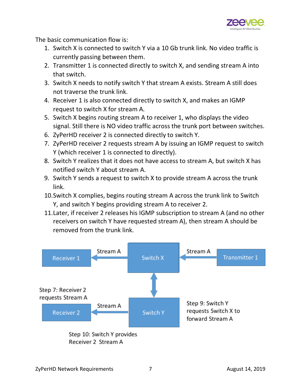

The basic communication flow is:

- 1. Switch X is connected to switch Y via a 10 Gb trunk link. No video traffic is currently passing between them.
- 2. Transmitter 1 is connected directly to switch X, and sending stream A into that switch.
- 3. Switch X needs to notify switch Y that stream A exists. Stream A still does not traverse the trunk link.
- 4. Receiver 1 is also connected directly to switch X, and makes an IGMP request to switch X for stream A.
- 5. Switch X begins routing stream A to receiver 1, who displays the video signal. Still there is NO video traffic across the trunk port between switches.
- 6. ZyPerHD receiver 2 is connected directly to switch Y.
- 7. ZyPerHD receiver 2 requests stream A by issuing an IGMP request to switch Y (which receiver 1 is connected to directly).
- 8. Switch Y realizes that it does not have access to stream A, but switch X has notified switch Y about stream A.
- 9. Switch Y sends a request to switch X to provide stream A across the trunk link.
- 10.Switch X complies, begins routing stream A across the trunk link to Switch Y, and switch Y begins providing stream A to receiver 2.
- 11.Later, if receiver 2 releases his IGMP subscription to stream A (and no other receivers on switch Y have requested stream A), then stream A should be removed from the trunk link.

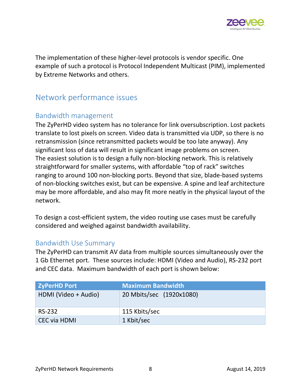

The implementation of these higher-level protocols is vendor specific. One example of such a protocol is Protocol Independent Multicast (PIM), implemented by Extreme Networks and others.

## <span id="page-7-0"></span>Network performance issues

#### <span id="page-7-1"></span>Bandwidth management

The ZyPerHD video system has no tolerance for link oversubscription. Lost packets translate to lost pixels on screen. Video data is transmitted via UDP, so there is no retransmission (since retransmitted packets would be too late anyway). Any significant loss of data will result in significant image problems on screen. The easiest solution is to design a fully non-blocking network. This is relatively straightforward for smaller systems, with affordable "top of rack" switches ranging to around 100 non-blocking ports. Beyond that size, blade-based systems of non-blocking switches exist, but can be expensive. A spine and leaf architecture may be more affordable, and also may fit more neatly in the physical layout of the network.

To design a cost-efficient system, the video routing use cases must be carefully considered and weighed against bandwidth availability.

#### <span id="page-7-2"></span>Bandwidth Use Summary

The ZyPerHD can transmit AV data from multiple sources simultaneously over the 1 Gb Ethernet port. These sources include: HDMI (Video and Audio), RS-232 port and CEC data. Maximum bandwidth of each port is shown below:

| <b>ZyPerHD Port</b>  | <b>Maximum Bandwidth</b> |
|----------------------|--------------------------|
| HDMI (Video + Audio) | 20 Mbits/sec (1920x1080) |
| <b>RS-232</b>        | 115 Kbits/sec            |
| <b>CEC via HDMI</b>  | 1 Kbit/sec               |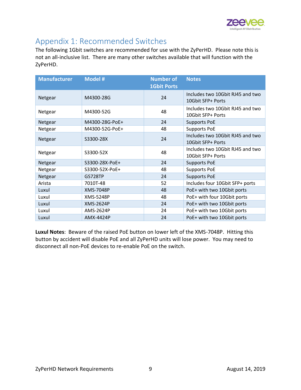

## <span id="page-8-0"></span>Appendix 1: Recommended Switches

The following 1Gbit switches are recommended for use with the ZyPerHD. Please note this is not an all-inclusive list. There are many other switches available that will function with the ZyPerHD.

| <b>Manufacturer</b> | <b>Model #</b> | <b>Number of</b><br><b>1Gbit Ports</b> | <b>Notes</b>                                          |
|---------------------|----------------|----------------------------------------|-------------------------------------------------------|
| Netgear             | M4300-28G      | 24                                     | Includes two 10Gbit RJ45 and two<br>10Gbit SFP+ Ports |
| Netgear             | M4300-52G      | 48                                     | Includes two 10Gbit RJ45 and two<br>10Gbit SFP+ Ports |
| Netgear             | M4300-28G-PoE+ | 24                                     | <b>Supports PoE</b>                                   |
| Netgear             | M4300-52G-PoE+ | 48                                     | <b>Supports PoE</b>                                   |
| Netgear             | S3300-28X      | 24                                     | Includes two 10Gbit RJ45 and two<br>10Gbit SFP+ Ports |
| Netgear             | S3300-52X      | 48                                     | Includes two 10Gbit RJ45 and two<br>10Gbit SFP+ Ports |
| Netgear             | S3300-28X-PoE+ | 24                                     | <b>Supports PoE</b>                                   |
| Netgear             | S3300-52X-PoE+ | 48                                     | <b>Supports PoE</b>                                   |
| Netgear             | <b>GS728TP</b> | 24                                     | <b>Supports PoE</b>                                   |
| Arista              | 7010T-48       | 52                                     | Includes four 10Gbit SFP+ ports                       |
| Luxul               | XMS-7048P      | 48                                     | PoE+ with two 10Gbit ports                            |
| Luxul               | XMS-5248P      | 48                                     | PoE+ with four 10Gbit ports                           |
| Luxul               | XMS-2624P      | 24                                     | PoE+ with two 10Gbit ports                            |
| Luxul               | AMS-2624P      | 24                                     | PoE+ with two 10Gbit ports                            |
| Luxul               | AMX-4424P      | 24                                     | PoE+ with two 10Gbit ports                            |

**Luxul Notes**: Beware of the raised PoE button on lower left of the XMS-7048P. Hitting this button by accident will disable PoE and all ZyPerHD units will lose power. You may need to disconnect all non-PoE devices to re-enable PoE on the switch.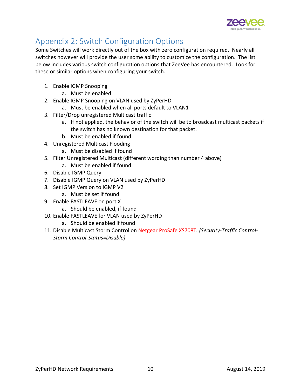

## <span id="page-9-0"></span>Appendix 2: Switch Configuration Options

Some Switches will work directly out of the box with zero configuration required. Nearly all switches however will provide the user some ability to customize the configuration. The list below includes various switch configuration options that ZeeVee has encountered. Look for these or similar options when configuring your switch.

- 1. Enable IGMP Snooping
	- a. Must be enabled
- 2. Enable IGMP Snooping on VLAN used by ZyPerHD
	- a. Must be enabled when all ports default to VLAN1
- 3. Filter/Drop unregistered Multicast traffic
	- a. If not applied, the behavior of the switch will be to broadcast multicast packets if the switch has no known destination for that packet.
	- b. Must be enabled if found
- 4. Unregistered Multicast Flooding
	- a. Must be disabled if found
- 5. Filter Unregistered Multicast (different wording than number 4 above)
	- a. Must be enabled if found
- 6. Disable IGMP Query
- 7. Disable IGMP Query on VLAN used by ZyPerHD
- 8. Set IGMP Version to IGMP V2
	- a. Must be set if found
- 9. Enable FASTLEAVE on port X
	- a. Should be enabled, if found
- 10. Enable FASTLEAVE for VLAN used by ZyPerHD
	- a. Should be enabled if found
- 11. Disable Multicast Storm Control on Netgear ProSafe XS708T*. (Security-Traffic Control-Storm Control-Status=Disable)*